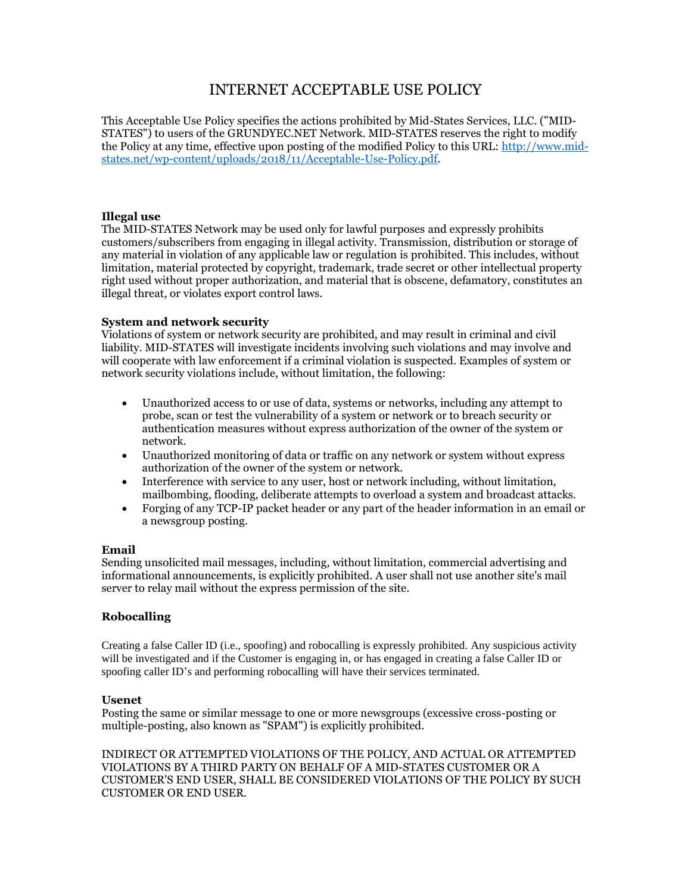# INTERNET ACCEPTABLE USE POLICY

This Acceptable Use Policy specifies the actions prohibited by Mid-States Services, LLC. ("MID-STATES") to users of the GRUNDYEC.NET Network. MID-STATES reserves the right to modify the Policy at any time, effective upon posting of the modified Policy to this URL: [http://www.mid](http://www.mid-states.net/wp-content/uploads/2018/11/Acceptable-Use-Policy.pdf)[states.net/wp-content/uploads/2018/11/Acceptable-Use-Policy.pdf.](http://www.mid-states.net/wp-content/uploads/2018/11/Acceptable-Use-Policy.pdf)

### **Illegal use**

The MID-STATES Network may be used only for lawful purposes and expressly prohibits customers/subscribers from engaging in illegal activity. Transmission, distribution or storage of any material in violation of any applicable law or regulation is prohibited. This includes, without limitation, material protected by copyright, trademark, trade secret or other intellectual property right used without proper authorization, and material that is obscene, defamatory, constitutes an illegal threat, or violates export control laws.

#### **System and network security**

Violations of system or network security are prohibited, and may result in criminal and civil liability. MID-STATES will investigate incidents involving such violations and may involve and will cooperate with law enforcement if a criminal violation is suspected. Examples of system or network security violations include, without limitation, the following:

- Unauthorized access to or use of data, systems or networks, including any attempt to probe, scan or test the vulnerability of a system or network or to breach security or authentication measures without express authorization of the owner of the system or network.
- Unauthorized monitoring of data or traffic on any network or system without express authorization of the owner of the system or network.
- Interference with service to any user, host or network including, without limitation, mailbombing, flooding, deliberate attempts to overload a system and broadcast attacks.
- Forging of any TCP-IP packet header or any part of the header information in an email or a newsgroup posting.

#### **Email**

Sending unsolicited mail messages, including, without limitation, commercial advertising and informational announcements, is explicitly prohibited. A user shall not use another site's mail server to relay mail without the express permission of the site.

## **Robocalling**

Creating a false Caller ID (i.e., spoofing) and robocalling is expressly prohibited. Any suspicious activity will be investigated and if the Customer is engaging in, or has engaged in creating a false Caller ID or spoofing caller ID's and performing robocalling will have their services terminated.

#### **Usenet**

Posting the same or similar message to one or more newsgroups (excessive cross-posting or multiple-posting, also known as "SPAM") is explicitly prohibited.

INDIRECT OR ATTEMPTED VIOLATIONS OF THE POLICY, AND ACTUAL OR ATTEMPTED VIOLATIONS BY A THIRD PARTY ON BEHALF OF A MID-STATES CUSTOMER OR A CUSTOMER'S END USER, SHALL BE CONSIDERED VIOLATIONS OF THE POLICY BY SUCH CUSTOMER OR END USER.